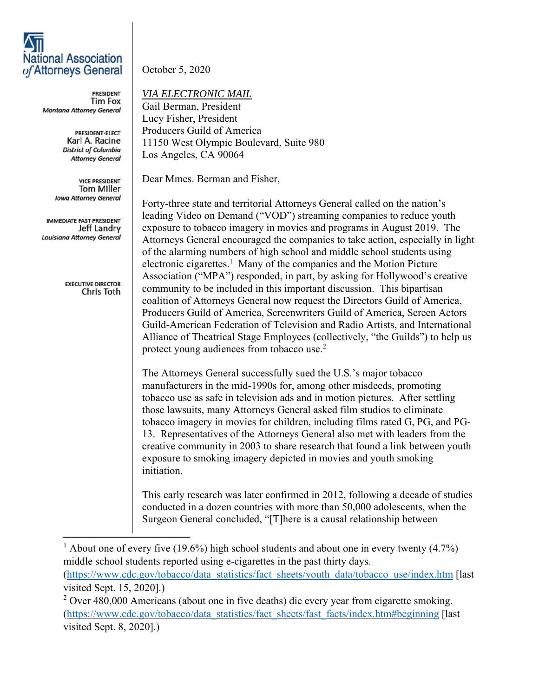## **National Association** of Attorneys General

**PRESIDENT Tim Fox** Montana Attorney General

> PRESIDENT-ELECT Karl A. Racine **District of Columbia Attorney General**

**VICE PRESIDENT Tom Miller Iowa Attorney General** 

IMMEDIATE PAST PRESIDENT Jeff Landry Louisiana Attorney General

> **EXECUTIVE DIRECTOR** Chris Toth

October 5, 2020

*VIA ELECTRONIC MAIL* 

Gail Berman, President Lucy Fisher, President Producers Guild of America 11150 West Olympic Boulevard, Suite 980 Los Angeles, CA 90064

Dear Mmes. Berman and Fisher,

Forty-three state and territorial Attorneys General called on the nation's leading Video on Demand ("VOD") streaming companies to reduce youth exposure to tobacco imagery in movies and programs in August 2019. The Attorneys General encouraged the companies to take action, especially in light of the alarming numbers of high school and middle school students using electronic cigarettes.<sup>1</sup> Many of the companies and the Motion Picture Association ("MPA") responded, in part, by asking for Hollywood's creative community to be included in this important discussion. This bipartisan coalition of Attorneys General now request the Directors Guild of America, Producers Guild of America, Screenwriters Guild of America, Screen Actors Guild-American Federation of Television and Radio Artists, and International Alliance of Theatrical Stage Employees (collectively, "the Guilds") to help us protect young audiences from tobacco use.<sup>2</sup>

The Attorneys General successfully sued the U.S.'s major tobacco manufacturers in the mid-1990s for, among other misdeeds, promoting tobacco use as safe in television ads and in motion pictures. After settling those lawsuits, many Attorneys General asked film studios to eliminate tobacco imagery in movies for children, including films rated G, PG, and PG-13. Representatives of the Attorneys General also met with leaders from the creative community in 2003 to share research that found a link between youth exposure to smoking imagery depicted in movies and youth smoking initiation.

This early research was later confirmed in 2012, following a decade of studies conducted in a dozen countries with more than 50,000 adolescents, when the Surgeon General concluded, "[T]here is a causal relationship between

<sup>1</sup> About one of every five (19.6%) high school students and about one in every twenty (4.7%) middle school students reported using e-cigarettes in the past thirty days. (https://www.cdc.gov/tobacco/data\_statistics/fact\_sheets/youth\_data/tobacco\_use/index.htm [last visited Sept. 15, 2020].)

 $2$  Over 480,000 Americans (about one in five deaths) die every year from cigarette smoking. (https://www.cdc.gov/tobacco/data\_statistics/fact\_sheets/fast\_facts/index.htm#beginning [last visited Sept. 8, 2020].)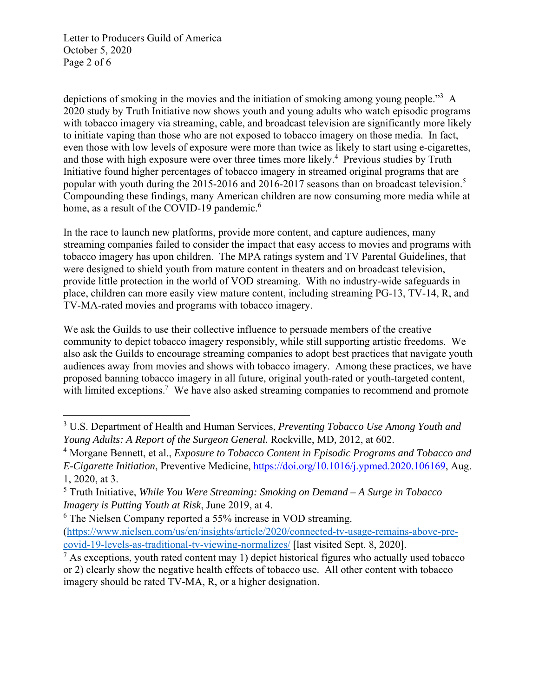Letter to Producers Guild of America October 5, 2020 Page 2 of 6

depictions of smoking in the movies and the initiation of smoking among young people."<sup>3</sup> A 2020 study by Truth Initiative now shows youth and young adults who watch episodic programs with tobacco imagery via streaming, cable, and broadcast television are significantly more likely to initiate vaping than those who are not exposed to tobacco imagery on those media. In fact, even those with low levels of exposure were more than twice as likely to start using e-cigarettes, and those with high exposure were over three times more likely.<sup>4</sup> Previous studies by Truth Initiative found higher percentages of tobacco imagery in streamed original programs that are popular with youth during the 2015-2016 and 2016-2017 seasons than on broadcast television.<sup>5</sup> Compounding these findings, many American children are now consuming more media while at home, as a result of the COVID-19 pandemic.<sup>6</sup>

In the race to launch new platforms, provide more content, and capture audiences, many streaming companies failed to consider the impact that easy access to movies and programs with tobacco imagery has upon children. The MPA ratings system and TV Parental Guidelines, that were designed to shield youth from mature content in theaters and on broadcast television, provide little protection in the world of VOD streaming. With no industry-wide safeguards in place, children can more easily view mature content, including streaming PG-13, TV-14, R, and TV-MA-rated movies and programs with tobacco imagery.

We ask the Guilds to use their collective influence to persuade members of the creative community to depict tobacco imagery responsibly, while still supporting artistic freedoms. We also ask the Guilds to encourage streaming companies to adopt best practices that navigate youth audiences away from movies and shows with tobacco imagery. Among these practices, we have proposed banning tobacco imagery in all future, original youth-rated or youth-targeted content, with limited exceptions.<sup>7</sup> We have also asked streaming companies to recommend and promote

<sup>3</sup> U.S. Department of Health and Human Services, *Preventing Tobacco Use Among Youth and Young Adults: A Report of the Surgeon General.* Rockville, MD*,* 2012, at 602.

<sup>&</sup>lt;sup>4</sup> Morgane Bennett, et al., *Exposure to Tobacco Content in Episodic Programs and Tobacco and E-Cigarette Initiation*, Preventive Medicine, https://doi.org/10.1016/j.ypmed.2020.106169, Aug. 1, 2020, at 3.

<sup>5</sup> Truth Initiative, *While You Were Streaming: Smoking on Demand – A Surge in Tobacco Imagery is Putting Youth at Risk*, June 2019, at 4.

<sup>&</sup>lt;sup>6</sup> The Nielsen Company reported a 55% increase in VOD streaming.

<sup>(</sup>https://www.nielsen.com/us/en/insights/article/2020/connected-tv-usage-remains-above-precovid-19-levels-as-traditional-tv-viewing-normalizes/ [last visited Sept. 8, 2020].

 $<sup>7</sup>$  As exceptions, youth rated content may 1) depict historical figures who actually used tobacco</sup> or 2) clearly show the negative health effects of tobacco use. All other content with tobacco imagery should be rated TV-MA, R, or a higher designation.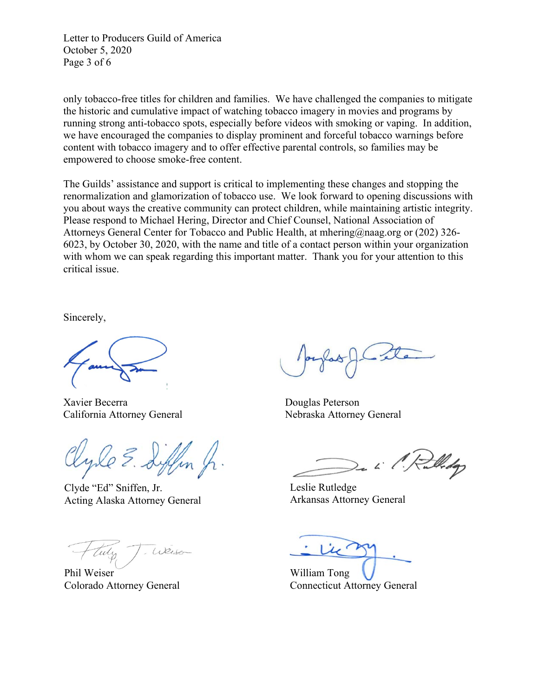Letter to Producers Guild of America October 5, 2020 Page 3 of 6

only tobacco-free titles for children and families. We have challenged the companies to mitigate the historic and cumulative impact of watching tobacco imagery in movies and programs by running strong anti-tobacco spots, especially before videos with smoking or vaping. In addition, we have encouraged the companies to display prominent and forceful tobacco warnings before content with tobacco imagery and to offer effective parental controls, so families may be empowered to choose smoke-free content.

The Guilds' assistance and support is critical to implementing these changes and stopping the renormalization and glamorization of tobacco use. We look forward to opening discussions with you about ways the creative community can protect children, while maintaining artistic integrity. Please respond to Michael Hering, Director and Chief Counsel, National Association of Attorneys General Center for Tobacco and Public Health, at mhering@naag.org or (202) 326- 6023, by October 30, 2020, with the name and title of a contact person within your organization with whom we can speak regarding this important matter. Thank you for your attention to this critical issue.

Sincerely,

Xavier Becerra Douglas Peterson California Attorney General Nebraska Attorney General

Clyde "Ed" Sniffen, Jr. Acting Alaska Attorney General

Weise

Phil Weiser Colorado Attorney General

Widop

Leslie Rutledge Arkansas Attorney General

William Tong Connecticut Attorney General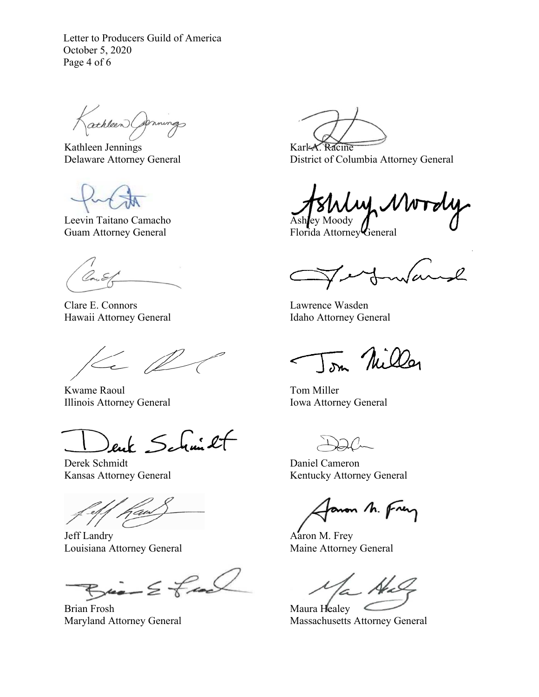Letter to Producers Guild of America October 5, 2020 Page 4 of 6

athleen Carnings

Kathleen Jennings Delaware Attorney General

Leevin Taitano Camacho Guam Attorney General

Clare E. Connors Hawaii Attorney General

 $\leftarrow \mathbb{Z}$ 

Kwame Raoul Illinois Attorney General

ent Schmit

Derek Schmidt Kansas Attorney General

j

Jeff Landry Louisiana Attorney General

 $Bia - E$  feel

Brian Frosh Maryland Attorney General

Karl-A. Racine District of Columbia Attorney General

M. VV Ashley Moody

Florida Attorney General

warnd

Lawrence Wasden Idaho Attorney General

Tom Nilley

Tom Miller Iowa Attorney General

Daniel Cameron Kentucky Attorney General

aron M. Frey

Aaron M. Frey Maine Attorney General

 $\mathcal{N}_{\mathcal{L}}$ 

Maura Healey Massachusetts Attorney General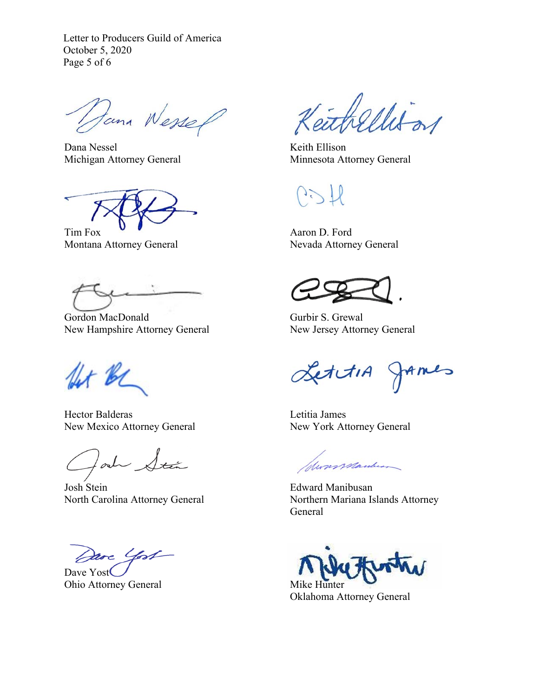Letter to Producers Guild of America October 5, 2020 Page 5 of 6

Dana Wessel

Dana Nessel Michigan Attorney General

Tim Fox Montana Attorney General

Gordon MacDonald New Hampshire Attorney General

for be

Hector Balderas New Mexico Attorney General

lad Stán

Josh Stein North Carolina Attorney General

Dave Yost

Dave Yost Ohio Attorney General

eithellis or

Keith Ellison Minnesota Attorney General

Aaron D. Ford Nevada Attorney General

Gurbir S. Grewal New Jersey Attorney General

LettiA JAmes

Letitia James New York Attorney General

Messenpanterson

Edward Manibusan Northern Mariana Islands Attorney General

Mike Hunter

Oklahoma Attorney General